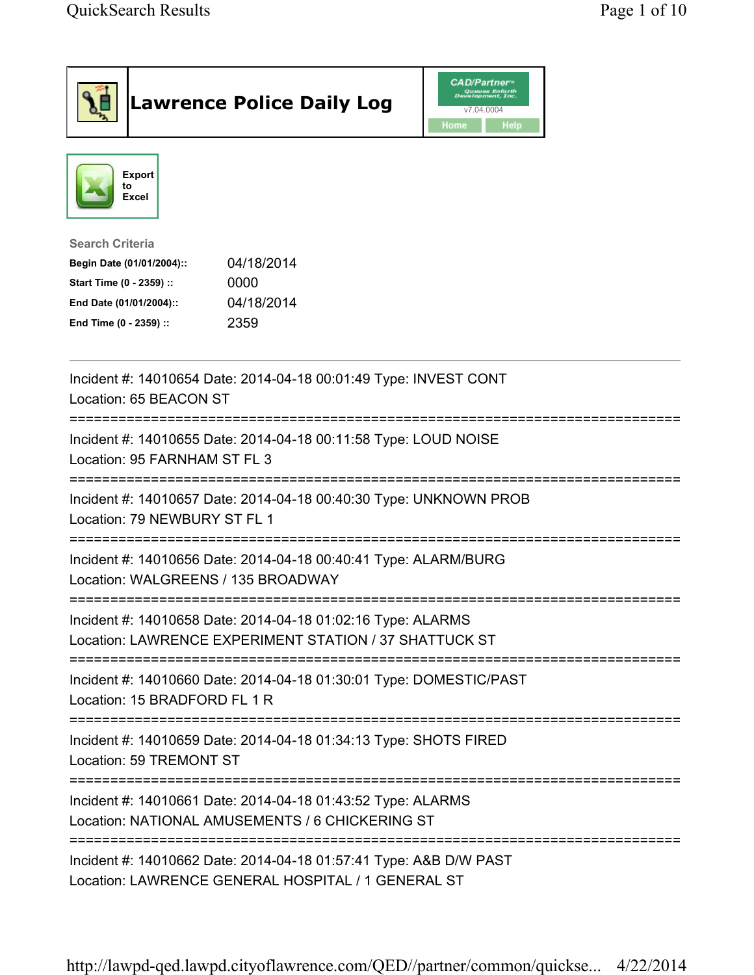|                                                                                                                                      | <b>Lawrence Police Daily Log</b>                                                                                        | <b>CAD/Partner</b><br>Queues Enforth<br>Development, Inc.<br>v7.04.0004<br>Home<br><b>Help</b> |  |
|--------------------------------------------------------------------------------------------------------------------------------------|-------------------------------------------------------------------------------------------------------------------------|------------------------------------------------------------------------------------------------|--|
| <b>Export</b><br>to<br>Excel                                                                                                         |                                                                                                                         |                                                                                                |  |
| <b>Search Criteria</b><br>Begin Date (01/01/2004)::<br>Start Time (0 - 2359) ::<br>End Date (01/01/2004)::<br>End Time (0 - 2359) :: | 04/18/2014<br>0000<br>04/18/2014<br>2359                                                                                |                                                                                                |  |
| Location: 65 BEACON ST                                                                                                               | Incident #: 14010654 Date: 2014-04-18 00:01:49 Type: INVEST CONT                                                        |                                                                                                |  |
| Location: 95 FARNHAM ST FL 3                                                                                                         | Incident #: 14010655 Date: 2014-04-18 00:11:58 Type: LOUD NOISE                                                         |                                                                                                |  |
| Location: 79 NEWBURY ST FL 1                                                                                                         | Incident #: 14010657 Date: 2014-04-18 00:40:30 Type: UNKNOWN PROB                                                       |                                                                                                |  |
| Location: WALGREENS / 135 BROADWAY                                                                                                   | Incident #: 14010656 Date: 2014-04-18 00:40:41 Type: ALARM/BURG                                                         |                                                                                                |  |
|                                                                                                                                      | Incident #: 14010658 Date: 2014-04-18 01:02:16 Type: ALARMS<br>Location: LAWRENCE EXPERIMENT STATION / 37 SHATTUCK ST   |                                                                                                |  |
| Location: 15 BRADFORD FL 1 R                                                                                                         | Incident #: 14010660 Date: 2014-04-18 01:30:01 Type: DOMESTIC/PAST                                                      |                                                                                                |  |
| Location: 59 TREMONT ST                                                                                                              | Incident #: 14010659 Date: 2014-04-18 01:34:13 Type: SHOTS FIRED                                                        |                                                                                                |  |
| Incident #: 14010661 Date: 2014-04-18 01:43:52 Type: ALARMS<br>Location: NATIONAL AMUSEMENTS / 6 CHICKERING ST                       |                                                                                                                         |                                                                                                |  |
|                                                                                                                                      | Incident #: 14010662 Date: 2014-04-18 01:57:41 Type: A&B D/W PAST<br>Location: LAWRENCE GENERAL HOSPITAL / 1 GENERAL ST |                                                                                                |  |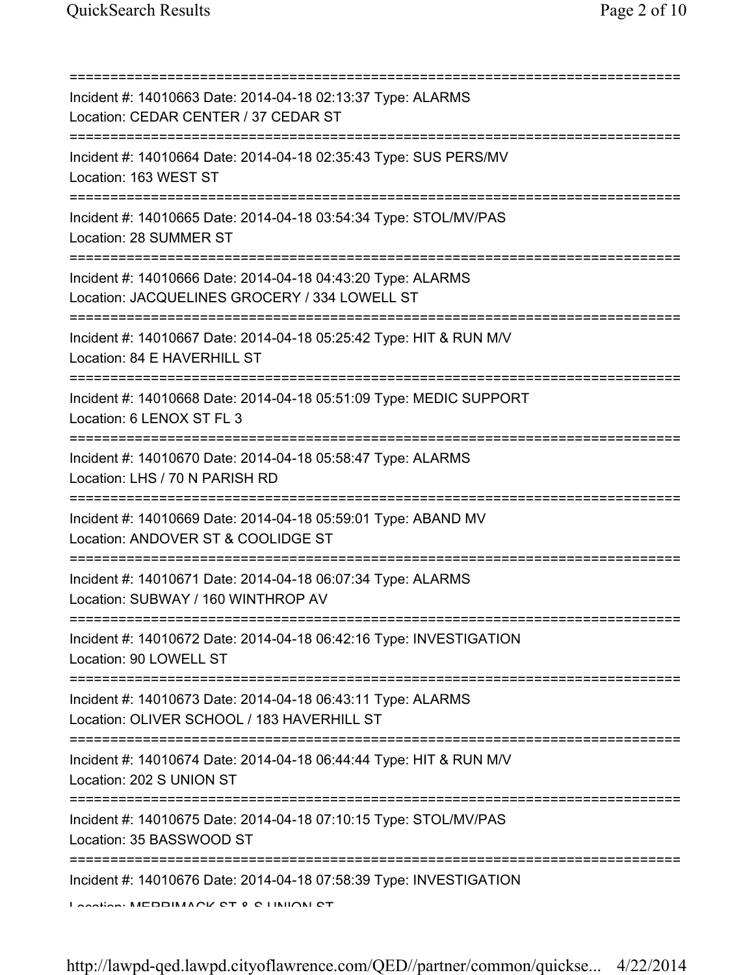=========================================================================== Incident #: 14010663 Date: 2014-04-18 02:13:37 Type: ALARMS Location: CEDAR CENTER / 37 CEDAR ST =========================================================================== Incident #: 14010664 Date: 2014-04-18 02:35:43 Type: SUS PERS/MV Location: 163 WEST ST =========================================================================== Incident #: 14010665 Date: 2014-04-18 03:54:34 Type: STOL/MV/PAS Location: 28 SUMMER ST =========================================================================== Incident #: 14010666 Date: 2014-04-18 04:43:20 Type: ALARMS Location: JACQUELINES GROCERY / 334 LOWELL ST =========================================================================== Incident #: 14010667 Date: 2014-04-18 05:25:42 Type: HIT & RUN M/V Location: 84 E HAVERHILL ST =========================================================================== Incident #: 14010668 Date: 2014-04-18 05:51:09 Type: MEDIC SUPPORT Location: 6 LENOX ST FL 3 =========================================================================== Incident #: 14010670 Date: 2014-04-18 05:58:47 Type: ALARMS Location: LHS / 70 N PARISH RD =========================================================================== Incident #: 14010669 Date: 2014-04-18 05:59:01 Type: ABAND MV Location: ANDOVER ST & COOLIDGE ST =========================================================================== Incident #: 14010671 Date: 2014-04-18 06:07:34 Type: ALARMS Location: SUBWAY / 160 WINTHROP AV =========================================================================== Incident #: 14010672 Date: 2014-04-18 06:42:16 Type: INVESTIGATION Location: 90 LOWELL ST =========================================================================== Incident #: 14010673 Date: 2014-04-18 06:43:11 Type: ALARMS Location: OLIVER SCHOOL / 183 HAVERHILL ST =========================================================================== Incident #: 14010674 Date: 2014-04-18 06:44:44 Type: HIT & RUN M/V Location: 202 S UNION ST =========================================================================== Incident #: 14010675 Date: 2014-04-18 07:10:15 Type: STOL/MV/PAS Location: 35 BASSWOOD ST =========================================================================== Incident #: 14010676 Date: 2014-04-18 07:58:39 Type: INVESTIGATION Location: MERRIMACK ST & C UNION ST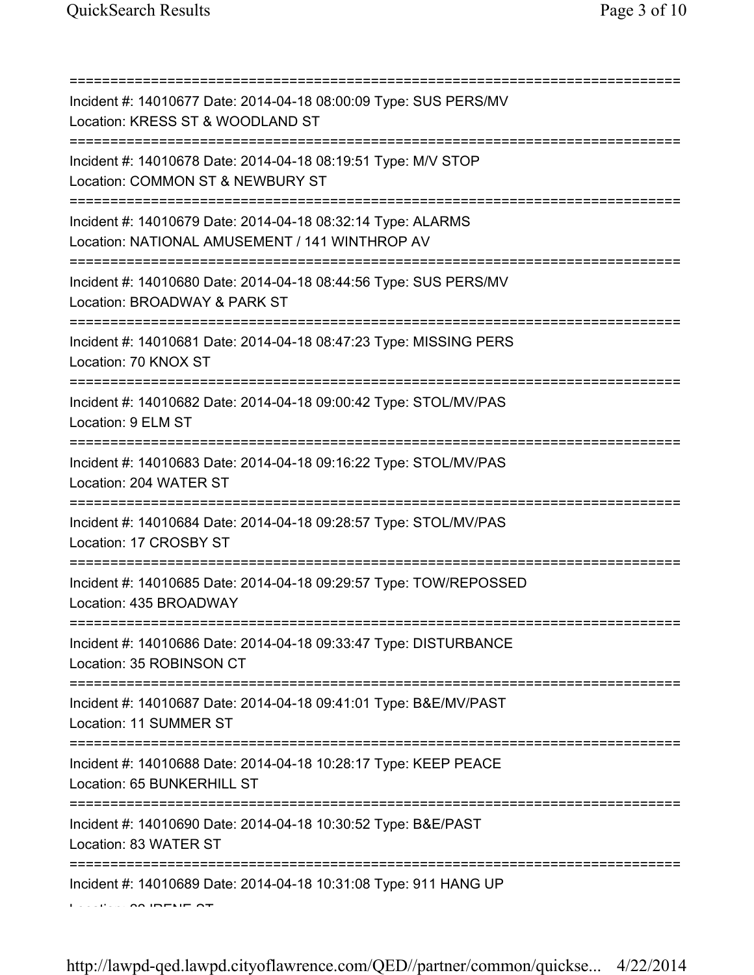=========================================================================== Incident #: 14010677 Date: 2014-04-18 08:00:09 Type: SUS PERS/MV Location: KRESS ST & WOODLAND ST =========================================================================== Incident #: 14010678 Date: 2014-04-18 08:19:51 Type: M/V STOP Location: COMMON ST & NEWBURY ST =========================================================================== Incident #: 14010679 Date: 2014-04-18 08:32:14 Type: ALARMS Location: NATIONAL AMUSEMENT / 141 WINTHROP AV =========================================================================== Incident #: 14010680 Date: 2014-04-18 08:44:56 Type: SUS PERS/MV Location: BROADWAY & PARK ST =========================================================================== Incident #: 14010681 Date: 2014-04-18 08:47:23 Type: MISSING PERS Location: 70 KNOX ST =========================================================================== Incident #: 14010682 Date: 2014-04-18 09:00:42 Type: STOL/MV/PAS Location: 9 ELM ST =========================================================================== Incident #: 14010683 Date: 2014-04-18 09:16:22 Type: STOL/MV/PAS Location: 204 WATER ST =========================================================================== Incident #: 14010684 Date: 2014-04-18 09:28:57 Type: STOL/MV/PAS Location: 17 CROSBY ST =========================================================================== Incident #: 14010685 Date: 2014-04-18 09:29:57 Type: TOW/REPOSSED Location: 435 BROADWAY =========================================================================== Incident #: 14010686 Date: 2014-04-18 09:33:47 Type: DISTURBANCE Location: 35 ROBINSON CT =========================================================================== Incident #: 14010687 Date: 2014-04-18 09:41:01 Type: B&E/MV/PAST Location: 11 SUMMER ST =========================================================================== Incident #: 14010688 Date: 2014-04-18 10:28:17 Type: KEEP PEACE Location: 65 BUNKERHILL ST =========================================================================== Incident #: 14010690 Date: 2014-04-18 10:30:52 Type: B&E/PAST Location: 83 WATER ST =========================================================================== Incident #: 14010689 Date: 2014-04-18 10:31:08 Type: 911 HANG UP Location: 22 IRENE ST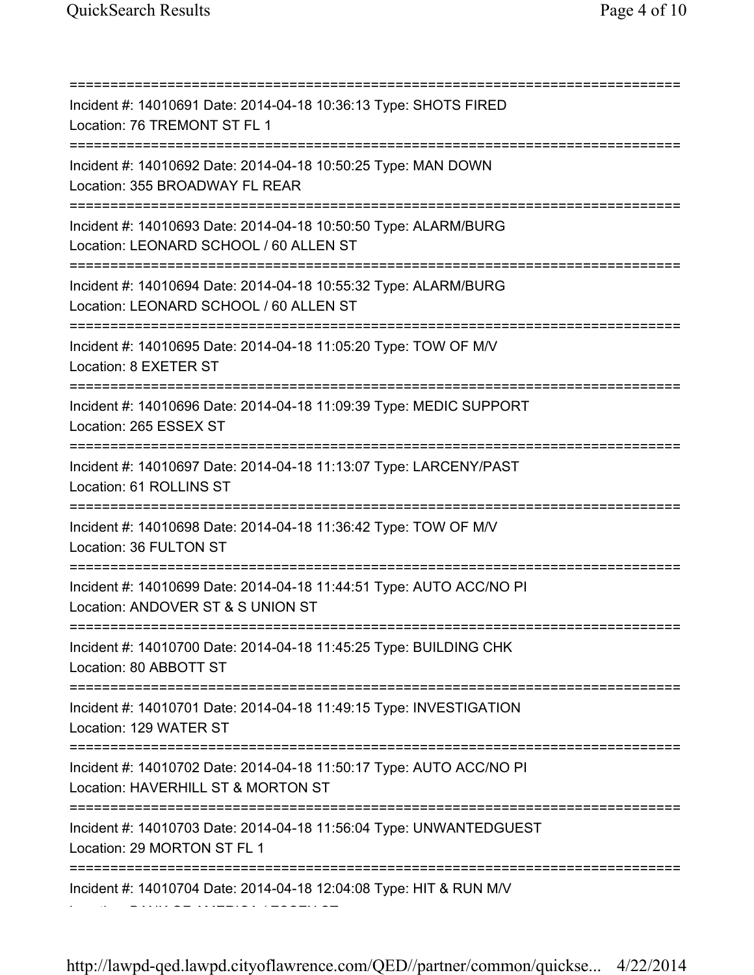=========================================================================== Incident #: 14010691 Date: 2014-04-18 10:36:13 Type: SHOTS FIRED Location: 76 TREMONT ST FL 1 =========================================================================== Incident #: 14010692 Date: 2014-04-18 10:50:25 Type: MAN DOWN Location: 355 BROADWAY FL REAR =========================================================================== Incident #: 14010693 Date: 2014-04-18 10:50:50 Type: ALARM/BURG Location: LEONARD SCHOOL / 60 ALLEN ST =========================================================================== Incident #: 14010694 Date: 2014-04-18 10:55:32 Type: ALARM/BURG Location: LEONARD SCHOOL / 60 ALLEN ST =========================================================================== Incident #: 14010695 Date: 2014-04-18 11:05:20 Type: TOW OF M/V Location: 8 EXETER ST =========================================================================== Incident #: 14010696 Date: 2014-04-18 11:09:39 Type: MEDIC SUPPORT Location: 265 ESSEX ST =========================================================================== Incident #: 14010697 Date: 2014-04-18 11:13:07 Type: LARCENY/PAST Location: 61 ROLLINS ST =========================================================================== Incident #: 14010698 Date: 2014-04-18 11:36:42 Type: TOW OF M/V Location: 36 FULTON ST =========================================================================== Incident #: 14010699 Date: 2014-04-18 11:44:51 Type: AUTO ACC/NO PI Location: ANDOVER ST & S UNION ST =========================================================================== Incident #: 14010700 Date: 2014-04-18 11:45:25 Type: BUILDING CHK Location: 80 ABBOTT ST =========================================================================== Incident #: 14010701 Date: 2014-04-18 11:49:15 Type: INVESTIGATION Location: 129 WATER ST =========================================================================== Incident #: 14010702 Date: 2014-04-18 11:50:17 Type: AUTO ACC/NO PI Location: HAVERHILL ST & MORTON ST =========================================================================== Incident #: 14010703 Date: 2014-04-18 11:56:04 Type: UNWANTEDGUEST Location: 29 MORTON ST FL 1 =========================================================================== Incident #: 14010704 Date: 2014-04-18 12:04:08 Type: HIT & RUN M/V Location: BANK OF AMERICA / ESSEX ST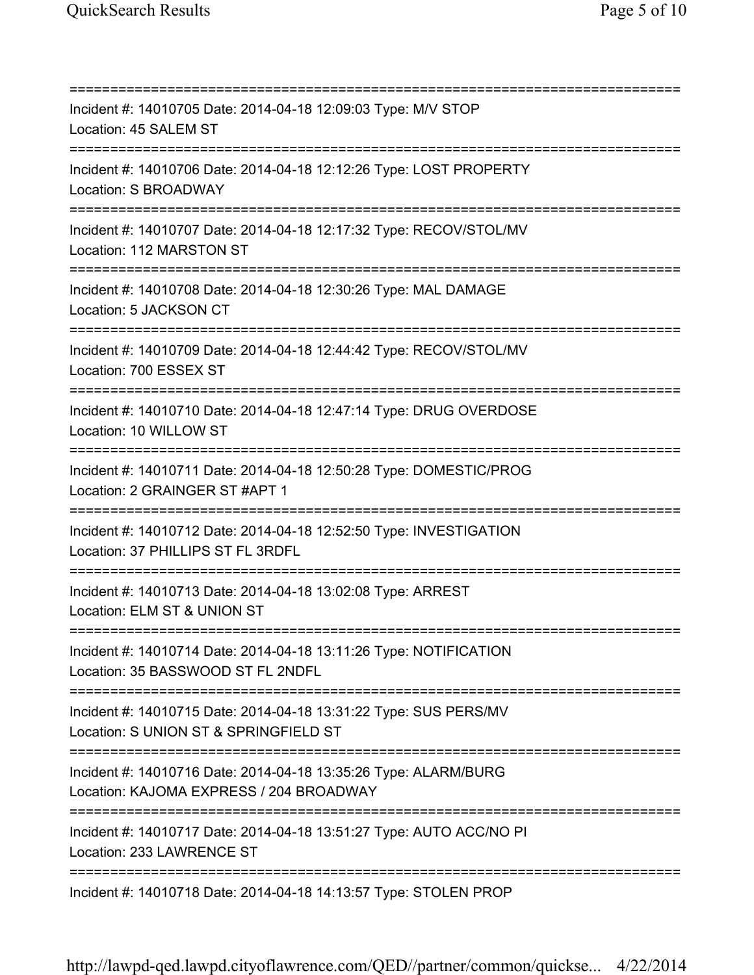=========================================================================== Incident #: 14010705 Date: 2014-04-18 12:09:03 Type: M/V STOP Location: 45 SALEM ST =========================================================================== Incident #: 14010706 Date: 2014-04-18 12:12:26 Type: LOST PROPERTY Location: S BROADWAY =========================================================================== Incident #: 14010707 Date: 2014-04-18 12:17:32 Type: RECOV/STOL/MV Location: 112 MARSTON ST =========================================================================== Incident #: 14010708 Date: 2014-04-18 12:30:26 Type: MAL DAMAGE Location: 5 JACKSON CT =========================================================================== Incident #: 14010709 Date: 2014-04-18 12:44:42 Type: RECOV/STOL/MV Location: 700 ESSEX ST =========================================================================== Incident #: 14010710 Date: 2014-04-18 12:47:14 Type: DRUG OVERDOSE Location: 10 WILLOW ST =========================================================================== Incident #: 14010711 Date: 2014-04-18 12:50:28 Type: DOMESTIC/PROG Location: 2 GRAINGER ST #APT 1 =========================================================================== Incident #: 14010712 Date: 2014-04-18 12:52:50 Type: INVESTIGATION Location: 37 PHILLIPS ST FL 3RDFL =========================================================================== Incident #: 14010713 Date: 2014-04-18 13:02:08 Type: ARREST Location: ELM ST & UNION ST =========================================================================== Incident #: 14010714 Date: 2014-04-18 13:11:26 Type: NOTIFICATION Location: 35 BASSWOOD ST FL 2NDFL =========================================================================== Incident #: 14010715 Date: 2014-04-18 13:31:22 Type: SUS PERS/MV Location: S UNION ST & SPRINGFIELD ST =========================================================================== Incident #: 14010716 Date: 2014-04-18 13:35:26 Type: ALARM/BURG Location: KAJOMA EXPRESS / 204 BROADWAY =========================================================================== Incident #: 14010717 Date: 2014-04-18 13:51:27 Type: AUTO ACC/NO PI Location: 233 LAWRENCE ST =========================================================================== Incident #: 14010718 Date: 2014-04-18 14:13:57 Type: STOLEN PROP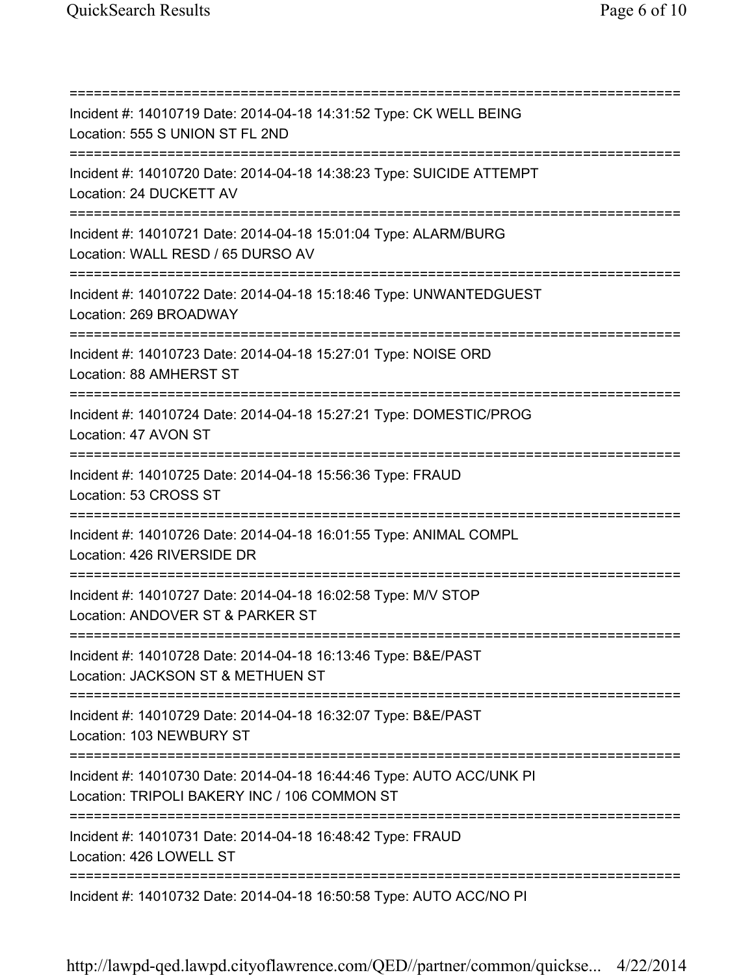=========================================================================== Incident #: 14010719 Date: 2014-04-18 14:31:52 Type: CK WELL BEING Location: 555 S UNION ST FL 2ND =========================================================================== Incident #: 14010720 Date: 2014-04-18 14:38:23 Type: SUICIDE ATTEMPT Location: 24 DUCKETT AV =========================================================================== Incident #: 14010721 Date: 2014-04-18 15:01:04 Type: ALARM/BURG Location: WALL RESD / 65 DURSO AV =========================================================================== Incident #: 14010722 Date: 2014-04-18 15:18:46 Type: UNWANTEDGUEST Location: 269 BROADWAY =========================================================================== Incident #: 14010723 Date: 2014-04-18 15:27:01 Type: NOISE ORD Location: 88 AMHERST ST =========================================================================== Incident #: 14010724 Date: 2014-04-18 15:27:21 Type: DOMESTIC/PROG Location: 47 AVON ST =========================================================================== Incident #: 14010725 Date: 2014-04-18 15:56:36 Type: FRAUD Location: 53 CROSS ST =========================================================================== Incident #: 14010726 Date: 2014-04-18 16:01:55 Type: ANIMAL COMPL Location: 426 RIVERSIDE DR =========================================================================== Incident #: 14010727 Date: 2014-04-18 16:02:58 Type: M/V STOP Location: ANDOVER ST & PARKER ST =========================================================================== Incident #: 14010728 Date: 2014-04-18 16:13:46 Type: B&E/PAST Location: JACKSON ST & METHUEN ST =========================================================================== Incident #: 14010729 Date: 2014-04-18 16:32:07 Type: B&E/PAST Location: 103 NEWBURY ST =========================================================================== Incident #: 14010730 Date: 2014-04-18 16:44:46 Type: AUTO ACC/UNK PI Location: TRIPOLI BAKERY INC / 106 COMMON ST =========================================================================== Incident #: 14010731 Date: 2014-04-18 16:48:42 Type: FRAUD Location: 426 LOWELL ST =========================================================================== Incident #: 14010732 Date: 2014-04-18 16:50:58 Type: AUTO ACC/NO PI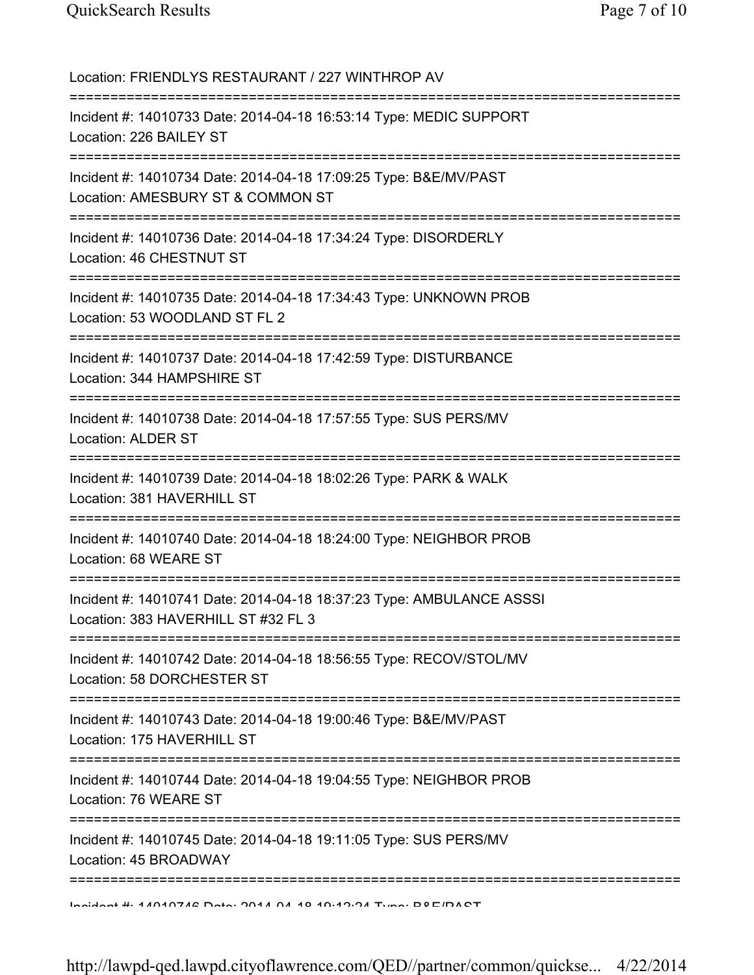Location: FRIENDLYS RESTAURANT / 227 WINTHROP AV =========================================================================== Incident #: 14010733 Date: 2014-04-18 16:53:14 Type: MEDIC SUPPORT Location: 226 BAILEY ST =========================================================================== Incident #: 14010734 Date: 2014-04-18 17:09:25 Type: B&E/MV/PAST Location: AMESBURY ST & COMMON ST =========================================================================== Incident #: 14010736 Date: 2014-04-18 17:34:24 Type: DISORDERLY Location: 46 CHESTNUT ST =========================================================================== Incident #: 14010735 Date: 2014-04-18 17:34:43 Type: UNKNOWN PROB Location: 53 WOODLAND ST FL 2 =========================================================================== Incident #: 14010737 Date: 2014-04-18 17:42:59 Type: DISTURBANCE Location: 344 HAMPSHIRE ST =========================================================================== Incident #: 14010738 Date: 2014-04-18 17:57:55 Type: SUS PERS/MV Location: ALDER ST =========================================================================== Incident #: 14010739 Date: 2014-04-18 18:02:26 Type: PARK & WALK Location: 381 HAVERHILL ST =========================================================================== Incident #: 14010740 Date: 2014-04-18 18:24:00 Type: NEIGHBOR PROB Location: 68 WEARE ST =========================================================================== Incident #: 14010741 Date: 2014-04-18 18:37:23 Type: AMBULANCE ASSSI Location: 383 HAVERHILL ST #32 FL 3 =========================================================================== Incident #: 14010742 Date: 2014-04-18 18:56:55 Type: RECOV/STOL/MV Location: 58 DORCHESTER ST =========================================================================== Incident #: 14010743 Date: 2014-04-18 19:00:46 Type: B&E/MV/PAST Location: 175 HAVERHILL ST =========================================================================== Incident #: 14010744 Date: 2014-04-18 19:04:55 Type: NEIGHBOR PROB Location: 76 WEARE ST =========================================================================== Incident #: 14010745 Date: 2014-04-18 19:11:05 Type: SUS PERS/MV Location: 45 BROADWAY =========================================================================== Incident #: 14010746 Date: 2014 04 18 19:12:24 Type: B&E/PAST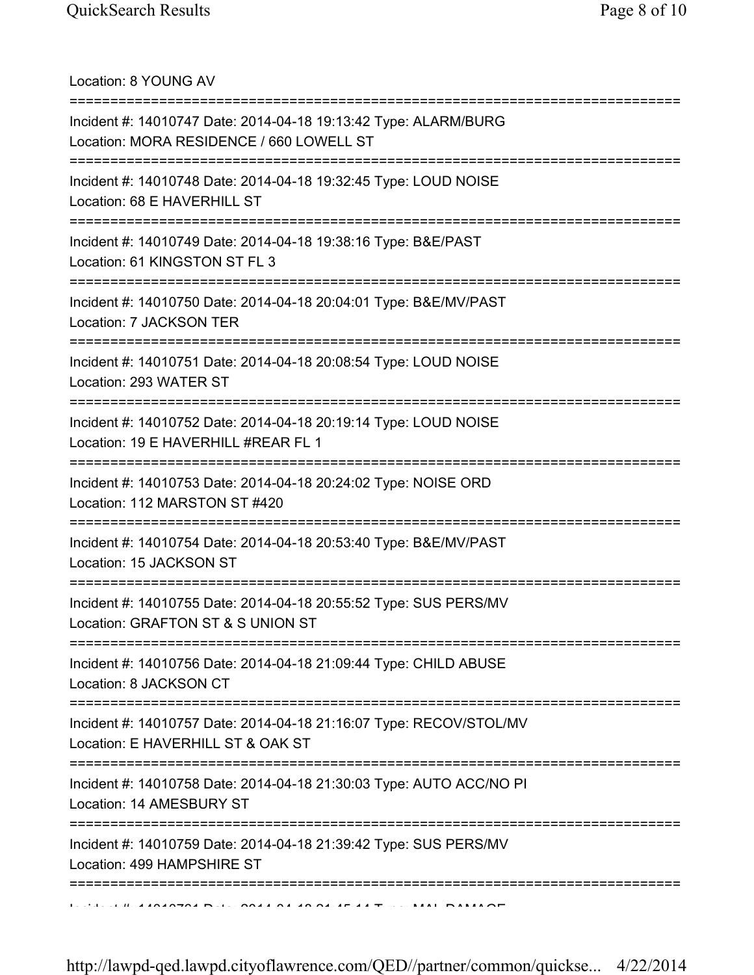Location: 8 YOUNG AV

| Incident #: 14010747 Date: 2014-04-18 19:13:42 Type: ALARM/BURG<br>Location: MORA RESIDENCE / 660 LOWELL ST |
|-------------------------------------------------------------------------------------------------------------|
| Incident #: 14010748 Date: 2014-04-18 19:32:45 Type: LOUD NOISE<br>Location: 68 E HAVERHILL ST              |
| Incident #: 14010749 Date: 2014-04-18 19:38:16 Type: B&E/PAST<br>Location: 61 KINGSTON ST FL 3              |
| Incident #: 14010750 Date: 2014-04-18 20:04:01 Type: B&E/MV/PAST<br>Location: 7 JACKSON TER                 |
| Incident #: 14010751 Date: 2014-04-18 20:08:54 Type: LOUD NOISE<br>Location: 293 WATER ST                   |
| Incident #: 14010752 Date: 2014-04-18 20:19:14 Type: LOUD NOISE<br>Location: 19 E HAVERHILL #REAR FL 1      |
| Incident #: 14010753 Date: 2014-04-18 20:24:02 Type: NOISE ORD<br>Location: 112 MARSTON ST #420             |
| Incident #: 14010754 Date: 2014-04-18 20:53:40 Type: B&E/MV/PAST<br>Location: 15 JACKSON ST                 |
| Incident #: 14010755 Date: 2014-04-18 20:55:52 Type: SUS PERS/MV<br>Location: GRAFTON ST & S UNION ST       |
| Incident #: 14010756 Date: 2014-04-18 21:09:44 Type: CHILD ABUSE<br>Location: 8 JACKSON CT                  |
| Incident #: 14010757 Date: 2014-04-18 21:16:07 Type: RECOV/STOL/MV<br>Location: E HAVERHILL ST & OAK ST     |
| Incident #: 14010758 Date: 2014-04-18 21:30:03 Type: AUTO ACC/NO PI<br>Location: 14 AMESBURY ST             |
| Incident #: 14010759 Date: 2014-04-18 21:39:42 Type: SUS PERS/MV<br>Location: 499 HAMPSHIRE ST              |
|                                                                                                             |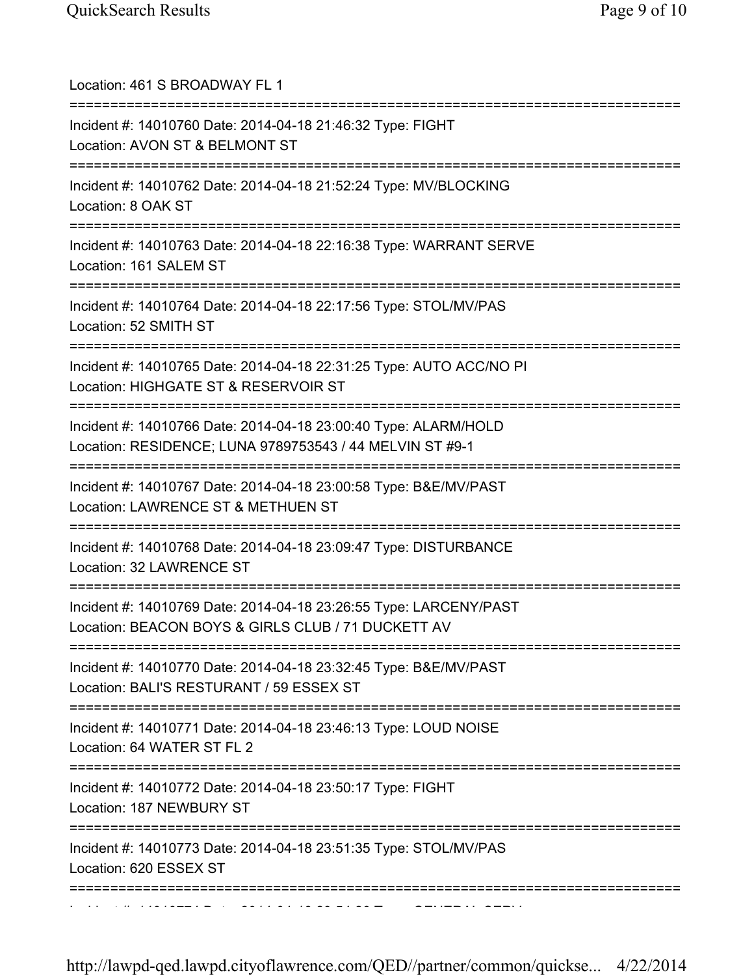| Location: 461 S BROADWAY FL 1                                                                                               |
|-----------------------------------------------------------------------------------------------------------------------------|
| Incident #: 14010760 Date: 2014-04-18 21:46:32 Type: FIGHT<br>Location: AVON ST & BELMONT ST                                |
| Incident #: 14010762 Date: 2014-04-18 21:52:24 Type: MV/BLOCKING<br>Location: 8 OAK ST                                      |
| Incident #: 14010763 Date: 2014-04-18 22:16:38 Type: WARRANT SERVE<br>Location: 161 SALEM ST                                |
| Incident #: 14010764 Date: 2014-04-18 22:17:56 Type: STOL/MV/PAS<br>Location: 52 SMITH ST                                   |
| Incident #: 14010765 Date: 2014-04-18 22:31:25 Type: AUTO ACC/NO PI<br>Location: HIGHGATE ST & RESERVOIR ST                 |
| Incident #: 14010766 Date: 2014-04-18 23:00:40 Type: ALARM/HOLD<br>Location: RESIDENCE; LUNA 9789753543 / 44 MELVIN ST #9-1 |
| Incident #: 14010767 Date: 2014-04-18 23:00:58 Type: B&E/MV/PAST<br>Location: LAWRENCE ST & METHUEN ST                      |
| Incident #: 14010768 Date: 2014-04-18 23:09:47 Type: DISTURBANCE<br>Location: 32 LAWRENCE ST                                |
| Incident #: 14010769 Date: 2014-04-18 23:26:55 Type: LARCENY/PAST<br>Location: BEACON BOYS & GIRLS CLUB / 71 DUCKETT AV     |
| Incident #: 14010770 Date: 2014-04-18 23:32:45 Type: B&E/MV/PAST<br>Location: BALI'S RESTURANT / 59 ESSEX ST                |
| Incident #: 14010771 Date: 2014-04-18 23:46:13 Type: LOUD NOISE<br>Location: 64 WATER ST FL 2                               |
| ------------------<br>Incident #: 14010772 Date: 2014-04-18 23:50:17 Type: FIGHT<br>Location: 187 NEWBURY ST                |
| Incident #: 14010773 Date: 2014-04-18 23:51:35 Type: STOL/MV/PAS<br>Location: 620 ESSEX ST                                  |
|                                                                                                                             |